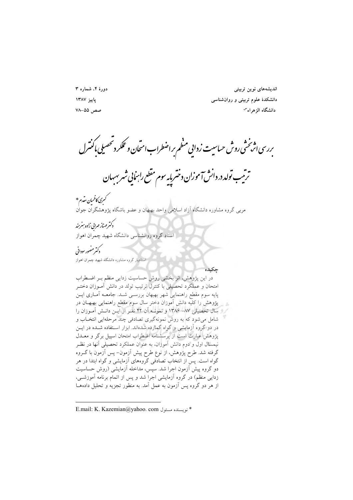دورهٔ ۴، شماره ۳ ياييز ١٣٨٧ صص ۵۵–۷۸

اندیشەهای نوین تربیتی دانشکدهٔ علوم تربیتی و روان شناسی دانشگاه الزهراء<sup>س</sup>

<sub>ىررسى ا</sub>ثر *خ*شى روش حساسيت زدايي منظم براضطراب امتحان وعملكه دتحصيلى باكنترل

ترتیب تولد در دانش آموزان دختربایه سوم مقطع راسایی شهرسهبان

ے<br>سکسری کاظمیان مقدم \* .<br>مربی گروه مشاوره دانشگاه آزاد اسلامی واحد بهبهان و عضو باشگاه پژوهشگران جوان

كترمهناز مهرابي زاده بسرمند .<br>استاد گروه روانشناسی دانشگاه شهید چمران اهواز

كترمضور بوداني استادیار گروه مشاوره دانشگاه شهید چمران اهواز

حكىدە در این پژوهش، اثر بخشی روش حساسیت زدایی منظم ببر اضطراب امتحان و عملکرد تحصیلی با کنترل ترتیب تولد در دانش آمـوزان دختـر پایه سوم مقطع راهنمایی شهر بهبهان بررسـی شـد. جامعـه آمـاری ایـن .<br>پژوهش را کلیه دانش آموزان دختر سال سوم مقطع راهنمایی بهبهــان در / إ سال تحصيلي ٨٧- ١٣٨۶ و نمونــه أن ۴۲ نفـر از آيــن دانــش آمــوزان را شامل می شود که به روش نمونهگیری تصادفی چند مرحلهایی انتخـاب و در دو گروه آزمایشی و گواه گمارده شدهاند. ابزار استفاده شـده در ایـن یژوهش عبارت است از پرسشنامه اضطراب امتحان اسپیل برگر و معــدل نیمسال اول و دوم دانش آموزان، به عنوان عملکرد تحصیلی آنها در نظـر گرفته شد. طرح پژوهش، از نوع طرح پیش اَزمون– پس اَزمون با گــروه گواه است. پس از انتخاب تصادُّفی گروههای آزمایشی و گواه ابتدا در هر دو گروه پیش آزمون اجرا شد. سپس، مداخله آزمایشی (روش حساسیت زدایی منظم) در گروه آزمایشی اجرا شد و پس از اتمام برنامه آموزشـی، از هر دو گروه پس ازمون به عمل آمد. به منظور تجزیه و تحلیل دادههـا

E.mail: K. Kazemian@yahoo. com أنو يسنده مسئول E.mail: K. Kazemian@yahoo. com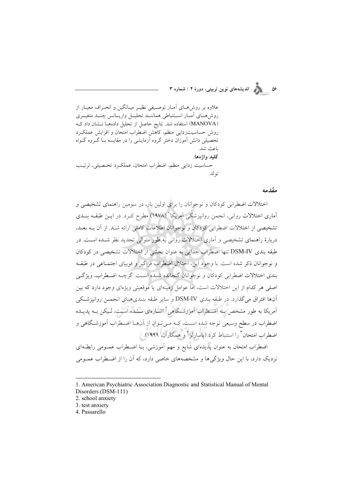۵۶<br>۵۶ - المسلم اندیشههای نوین تربیتی، دورهٔ ۴ / شماره ۳

علاوه بر روش هبای آمبار توصیفی نظیـر میبانگین و انحـراف معیبار از روش هساى أمسار استنباطي هماننسد تحليسل واريسانس چنسد متغيسرى (MANOVA) استفاده شد. نتايج حاصل از تحليل دادهها نـشان داد كـه روش حساسیتزدایی منظم، کاهش اضطراب امتحان و افزایش عملکرد تحصیلی دانش آموزان دختر گروه آزمایشی را در مقایسه بـا گـروه گـواه ىاعث شد. كليد واژەها: حساسیت زدایی منظم، اضطراب امتحان، عملک و تحصیلی، ترتیب ته لد.

#### مقدمه

اختلالات اضطرابی کودکان و نوجوانان را برای اولین بار، در سومین راهنمای تشخیصی و آماری اختلالات روانی، انجمن روانپزشکی اَمریکا<sup>\</sup> (۱۹۷۸) مطرح کـرد. در ایــن طبقــه بنــدی تشخيصي از اختلالات اضطرابي كودكان و نوجوانان اطلاعات كاملي ارائه شـد. از آن بــه بعــد، دربارهٔ راهنمای تشخیصی و آماری اختلالات روانی به طور متوالی تجدید نظر شـده اسـت. در طبقه بندي DSM-IV تنها اضطراب جدايي به عنوان بخشي از اختلالات تشخيصي در كودكان و نوجوانان ذکر شده است. با وجود این، اختلال اضطراب فراگیر و فوبیای اجتمـاعی در طبقـه بندي اختلالات اضطرابي كودكان و نوجوانان گنجانده شـده اسـت. گرچـه اضـطراب، ويژگـي اصلی هر کدام از این اختلالات است، اما عوامل زمینهای یا موقعیتی ویژهای وجود دارد که بین آنها افتراق مي گذارد. در طبقه بندي DSM-IV و ساير طبقه بنــديهـياي انجمــن روانيزشــكي آمریکا به طور مشخص بــه اضــطراب آموزشــگاهی ٔ اشــارهای نــشده اســت، لـیکن بــه پدیــده اضطراب در سطح وسیعی توجه شده اسـت، کـه مـیتوان از آنهـا اضـطراب آموزشـگاهی و اضطراب امتحان<sup>۳</sup> را استنباط کرد (پاسارلو<sup>۴</sup> و همکاران، ۱۹۹۹). اضطراب امتحان به عنوان پدیدهای شایع و مهم آموزشی، بــا اضــطراب عمــومی رابطــهای

نزدیک دارد، با این حال ویژگیها و مشخصههای خاصی دارد، که آن را از اضطراب عمـومی

<sup>1.</sup> American Psychiatric Association Diagnostic and Statistical Manual of Mental Disorders (DSM-111)

<sup>2.</sup> school anxiety

<sup>3.</sup> test anxiety

<sup>4.</sup> Passarello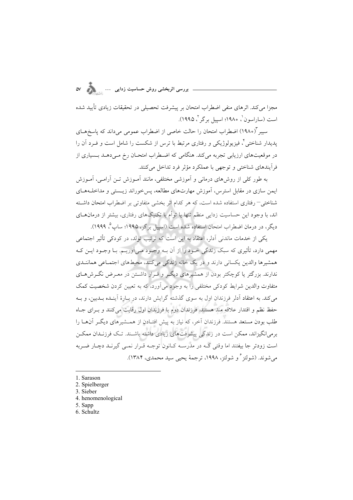مجزا می کند. اثرهای منفی اضطراب امتحان بر پیشرفت تحصیلی در تحقیقات زیادی تأیید شده است (ساراسون ْ، ١٩٨٠؛ اسپیل برگر ْ، ١٩٩٥).

سیبر "(۱۹۸۰) اضطراب امتحان را حالت خاصی از اضطراب عمومی میداند که پاسخهـای پدیدار شناختی ٌ، فیزیولوژیکی و رفتاری مرتبط با ترس از شکست را شامل است و فــرد آن را در موقعیتهای ارزیابی تجربه می کند. هنگامی که اضطراب امتحـان رخ مـی۵هــد بــسیاری از فرأيندهاي شناختي و توجهي با عملكرد مؤثر فرد تداخل مي كنند.

به طور کلی از روش های درمانی و آموزشی مختلفی، مانند آمـوزش تـن آرامـی، آمـوزش ایمن سازی در مقابل استرس، آموزش مهارتهای مطالعه، پسخوراند زیستی و مداخلـههـای شناختی– رفتاری استفاده شده است، که هر کدام اثر بخشی متفاوتی بر اضطراب امتحان داشته اند، با وجود این حساسیت زدایی منظم تنها یا توأم با تکنیکهای رفتاری، بیشتر از درمانهـای دیگر، در درمان اضطراب امتحان استفاده شده است (اسپیل برگر، ۱۹۹۵؛ ساپ°، ۱۹۹۹).

یکی از خدمات ماندنی آدلر، اعتقاد به این است که ترتیب تولد، در کودکی تأثیر اجتماعی مهمی دارد، تأثیری که سبک زندگی خبود را از آن بـه وجبود مـی آوریـم. بـا وجبود ایـن کـه همشیرها والدین یکسانی دارند و در یک خانه زندگی میکنند، محیطهای اجتمـاعی هماننـدی ندارند. بزرگتر یا کوچکتر بودن از همشیرهای دیگـر و قـرار داشـتن در معـرض نگـرش۵هـای متفاوت والدین شرایط کودکی مختلفی را به وجود می آورد، که به تعیین کردن شخصیت کمک می کند. به اعتقاد آدلر فرزندان اول به سوی گذشته گرایش دارند، در پیارهٔ آینیده بیدبین، و بیه حفظ نظم و اقتدار علاقه مند هستند. فرزندان دوم با فرزندان اول رقابت می کنند و بـرای جـاه طلب بودن مستعد هستند. فرزندان آخر، که نیاز به پیش افتـادن از همــشیرهای دیگــر آن۱مـا را برمی|نگیزاند، ممکن است در زندگی پیشرفتهای زیادی داشته باشـند. تـک فرزنـدان ممکــن است زودتر جا بیفتند اما وقتی کـه در مدرســه کــانون توجــه قــرار نمــی گیرنــد دچــار ضــربه مي شوند. (شولتز <sup>ع</sup>و شولتز، ١٩٩٨، ترجمهٔ يحيى سيد محمدي، ١٣٨۴).

<sup>1.</sup> Sarason

<sup>2.</sup> Spielberger

<sup>3.</sup> Sieber

<sup>4.</sup> henomenological

<sup>5.</sup> Sapp

<sup>6.</sup> Schultz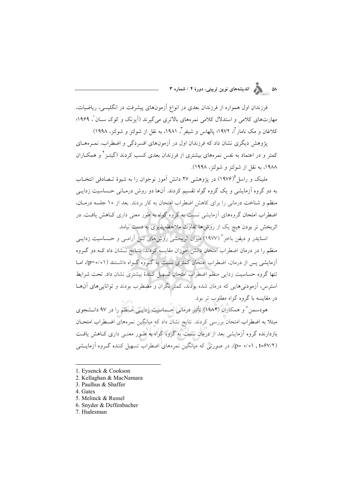### ۵۸ میسمه از مسلمه ای نوین تربیتی، دورهٔ ۴ / شماره ۳<br>۱

فرزندان اول همواره از فرزندان بعدی در انواع ازمونهای پیشرفت در انکلیسی، ریاضیات، مهارتهای کلامی و استدلال کلامی نمرههای بالاتری میگیرند (آیزنک و کوک سـان'، ۱۹۶۹؛ کلاغان و مک نامار<sup>۲</sup>ا، ۱۹۷۲؛ پالهاس و شیفر<sup>۳</sup>، ۱۹۸۱، به نقل از شولتز و شولتز، ۱۹۹۸)

پژوهش دیگری نشان داد که فرزندان اول در ازمونهای افسردگی و اضطراب، نمـرههـای کمتر و در اعتماد به نفس نمرههای بیشتری از فرزندان بعدی کسب کردند (گیتــز<sup>۲</sup> و همکــاران ۱۹۸۸، به نقل از شولتز و شولتز، ۱۹۹۸).

ملینک و راسل<sup>0</sup>(۱۹۷۶) در پژوهشی ۲۷ دانش آموز نوجوان را به شیوهٔ تــصادفی انتخــاب به دو گروه ازمایشی و یک گروه گواه تقسیم کردند. انها دو روش درمـانی حــساسیت زدایــی منظم و شناخت درمانی را برای کاهش اضطراب امتحان به کار بردند. بعد از ۱۰ جلسه درمــان، اضطراب امتحان گروههای ازمایشی نسبت به گروه گواه به طور معنی داری کـاهش یافــت. در اثربخش تر بودن هیچ یک از روش۱ها تفاوت ملاحظهپذیری به دست نیامد.

اسنایدر و دیفن باخر ٔ (۱۹۷۷) میزان اثربخشی روش۵ای تــن اَرامــی و حــساسیت زدایــی منظم را در درمان اضطراب امتحان دانش اموزان مقایسه کردند. نتـایج نــشان داد کــه دو گــروه أزمایشی پس از درمان، اضطراب امتحان کمتری نسبت به گـروه گــواه داشــتند (p=۰/۰۱)، امــا تنها گروه حساسیت زدایی منظم اضطراب امتحان تسهیل کنندهٔ بیشتری نشان داد. تحت شرایط استرس، ازمودنیهایی که درمان شده بودند، کمتر نگران و مضطرب بودند و تواناییهای انهـا در مقایسه با گروه گواه مطلوب تر بود.

هودسمن<sup>۷</sup> و همکاران (۱۹۸۴) تأثیر درمانی حـساسیت زدایـی مـنظم را در ۹۷ دانـشجوی مبتلا به اضطراب امتحان بررسی کردند. نتایج نشان داد که میانگین نمرههای اضـطراب امتحـان بازدارنده گروه ازمایشی بعد از درمان نسبت به گروه گواه به طـور معنـی داری کــاهش یافــت (p= ۰/۰۱ , t=۶۷/۲ در صورتی که میانگین نمرههای اضطراب تسهیل کننده گـروه آزمایــشی

- 1. Eysenck & Cookson
- 2. Kellaghan & MacNamara
- 3. Paulhus & Shaffer
- 4. Gates
- 5. Melinck & Russel
- 6. Snyder & Deffenbacher
- 7. Hudesman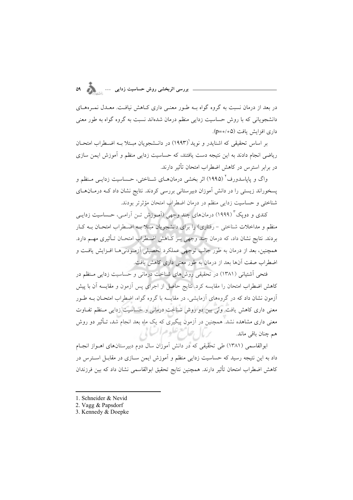در بعد از درمان نسبت به گروه گواه بـه طـور معنـی داری کـاهش نیافـت. معـدل نمـرههـای دانشجویانی که با روش حساسیت زدایی منظم درمان شدهاند نسبت به گروه گواه به طور معنی داري افزايش يافت (٥٥/٥=p).

بر اساس تحقیقی که اشنایدر و نوید (۱۹۹۳) در دانـشجویان مبـتلا بـه اضـطراب امتحـان ریاضی انجام دادند به این نتیجه دست یافتند، که حساسیت زدایی منظم و آموزش ایمن سازی در برابر استرس در کاهش اضطراب امتحان تأثیر دارند.

واگ و یاپاسدورف<sup>۲</sup> (۱۹۹۵) اثر بخشی درمان۱ای شـناختی، حـساسیت زدایــی مـنظم و پسخوراند زیستی را در دانش آموزان دبیرستانی بررسی کردند. نتایج نشان داد کـه درمـانهـای شناختی و حساسیت زدایی منظم در درمان اضطراب امتحان مؤثرتر بودند.

کندی و دویک<sup>۳</sup> (۱۹۹۹) درمانهای چند وجهی (اَمـوزش تـن اَرامـی، حــساسیت زدایــی منظم و مداخلات شناختی – رفتاری) را برای دانشجویان مبتلا بــه اضـطراب امتحـان بــه کــار بردند. نتایج نشان داد، که درمان چند وجهی بـر کـاهش اضـطراب امتحـان تـأثیری مهــم دارد. همچنین، بعد از درمان به طور جالب توجهی عملکرد تحصیلی آزمـودنی۵مـا افـزایش یافـت و اضطراب صفت آنها بعد از درمان به طور معنی داری کاهش یافت.

فتحی آشتیانی (۱۳۸۱) در تحقیقی روشهای شناخت درمانی و حساسیت زدایی منظم در كاهش اضطراب امتحان را مقايسه كرد. نتايج حاصل از اجراى پس آزمون و مقايسه آن با پيش .<br>آزمون نشان داد که در گروههای آزمایشی، در مقایسه با گروه گواه، اضِطراب امتحـان بــه طــور معنی داری کاهش یافت. ولی بین دو روش شناخت درمانی و حساسیت زدایی مـنظم تفـاوت معنی داری مشاهده نشد. همچنین در آزمون پیگیری که یک ماه بعد انجام شد، تـأثیر دو روش برمال تفاسع علوم الساتي هم چنان باقی ماند.

ابوالقاسمی (۱۳۸۱) طی تحقیقی که در دانش آموزان سال دوم دبیرستان های اهـواز انجـام داد به این نتیجه رسید که حساسیت زدایی منظم و آموزش ایمن سـازی در مقابـل اســترس در كاهش اضطراب امتحان تأثير دارند. همچنين نتايج تحقيق ابوالقاسمي نشان داد كه بين فرزندان

- 1. Schneider & Nevid
- 2. Vagg & Papsdorf
- 3. Kennedy & Doepke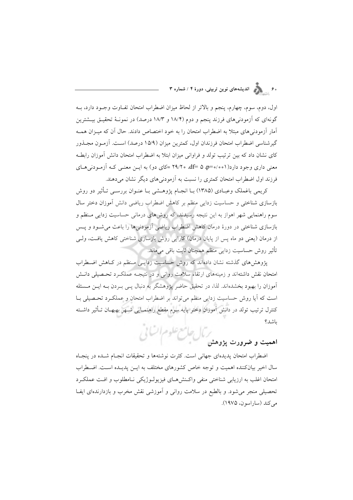# .<br>۶۰ - مسلم الندیشههای نوین تربیتی، دورهٔ ۴ / شماره ۳

اول، دوم، سوم، چهارم، پنجم و بالاتر از لحاظ میزان اضطراب امتحان تفـاوت وجـود دارد، بــه گونهای که آزمودنیهای فرزند پنجم و دوم (۱۸/۴ و ۱۸/۳ درصد) در نمونـهٔ تحقیـق بیــشترین آمار آزمودنی های مبتلا به اضطراب امتحان را به خود اختصاص دادند. حال آن که میــزان همــه گیرشناسی اضطراب امتحان فرزندان اول، کمترین میزان (۱۵/۹ درصد) اسـت. آزمـون مجــذور کای نشان داد که بین ترتیب تولد و فراوانی میزان ابتلا به اضطراب امتحان دانش آموزان رابطـه معنی داری وجود دارد(٥٠١-٥٥هـ af= ۵ ،p=٥/٥٥١) =کای دو) به ايـن معنـي کـه آزمـودني هـای فرزند اول اضطراب امتحان کمتری را نسبت به آزمودنی های دیگر نشان می دهند.

کریمی باغملک وعبـادی (۱۳۸۵) بــا انجــام پژوهــشی بــا عنــوان بررســی تــأثیر دو روش بازسازی شناختی و حساسیت زدایی منظم بر کاهش اضطراب ریاضی دانش آموزان دختر سال سوم راهنمایی شهر اهواز به این نتیجه رسیدند، که روشهای درمانی حساسیت زدایی متظم و بازسازی شناختی در دورهٔ درمان کاهش اضطراب ریاضی آزمودنیها را باعث می شـود و پـس از درمان (يعني دو ماه پس از پايان درمان) كارايي روش بازسازي شناختي كاهش يافت، ولـي تأثیر روش حساسیت زدایی منظم همچنان ثابت باقی می ماند.

پژوهش های گذشته نشان دادهاند که روش حساسیت زدایـی مـنظم در کـاهش اضـطراب امتحان نقش داشتهاند و زمینههای ارتقاء سلامت روانی و در نتیجـه عملکـرد تحـصیلی دانـش آموزان را بهبود بخشدهاند. لذا، در تحقیق حاضر پژوهشگر به دنبال یـبی بـردن بــه ایــن مــسئله است که آیا روش حساسیت زدایی منظم می تواند بر اضطراب امتحان و عملک د تحـصیلی بــا كنترل ترتيب تولد در دانش آموزان دختر پايه سوم مقطع راهنمـايي شـهر بهبهـان تـأثير داشـته باشد؟ رمال حامع علوم اتنائى

### اهمیت و ضرورت یژوهش

اضطراب امتحان يديدهاي جهاني است. كثرت نوشتهها و تحقيقات انجـام شـده در پنجـاه سال اخیر بیانکننده اهمیت و توجه خاص کشورهای مختلف به ایـن پدیـده اسـت. اضـطراب امتحان اغلب به ارزيابي شناختي منفي واكـنش١صاي فيزيولـوژيكي نـامطلوب و افـت عملكـرد تحصیلی منجر می شود. و بالطبع در سلامت روانی و آموزشی نقش مخرب و بازدارندهای ایفـا می کند (ساراسون، ۱۹۷۵).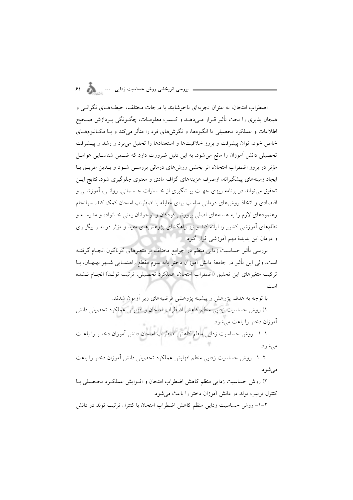اضطراب امتحان، به عنوان تجربهای ناخوشایند با درجات مختلف، حیطـههـای نگرانـی و هیجان پذیری را تحت تأثیر قـرار مـی،دهــد و کــسب معلومــات، چگــونگـی پــردازش صــحیح اطلاعات و عملکرد تحصیلی تا انگیزهها، و نگرش های فرد را متأثر می کند و بـا مکــانیزمهــای خاص خود، توان پیشرفت و بروز خلاقیتها و استعدادها را تحلیل می برد و رشد و پیشرفت تحصیلی دانش آموزان را مانع میشود. به این دلیل ضرورت دارد که ضـمن شناسـایی عوامـل مؤثر در بروز اضطراب امتحان، اثر بخشی روشهای درمانی بررسـی شـود و بـدین طریـق بـا ایجاد زمینههای پیشگیرانه، ازصرف هزینههای گزاف مادی و معنوی جلوگیری شود. نتایج ایــن تحقیق میتواند در برنامه ریزی جهت پیــشگیری از خــسارات جــسمانی، روانــی، آموزشــی و اقتصادی و اتخاذ روش۵های درمانی مناسب برای مقابله با اضطراب امتحان کمک کند. سرانجام رهنمودهای لازم را به هستههای اصلی پرورش کودکان و نوجوانان یعنی خـانواده و مدرسـه و نظامهای آموزشی کشور را ارائه کند و نیز راهگشای پژوهشهای مفید و مؤثر در امـر پیگیــری و درمان این پدیدهٔ مهم آموزشی قرار گیرد.

بررسی تأثیر حساسیت زدایی منظم در جوامع مختلف بر متغیرهای گوناگون انجـام گرفتــه است، ولی این تأثیر در جامعهٔ دانش آموزان دختر پایه سوم مقطع راهنمـایی شــهر بهبهــان، بــا تركيب متغيرهاي اين تحقيق (اضطراب امتحان، عملكرد تحصيلي، ترتيب تولـد) انجـام نــشده امیدی

با توجه به هدف پژوهش و پیشینه پژوهشی فرضیههای زیر آزمون شدند. ١) روش حساسيت زدايي منظم كاهش اضطراب امتحان و افزايش عملكرد تحصيلي دانش آموزان دختر را باعث می شود. ۱–۱– روش حساسیت زدایی منظم کاهش اضطراب امتحان دانش آموزان دختـر را باعـث مى شود. ٢–١- روش حساسيت زدايي منظم افزايش عملكرد تحصيلي دانش آموزان دختر را باعث مې شو د.

۲) روش حساسیت زدایی منظم کاهش اضطراب امتحان و افـزایش عملکـرد تحـصیلی بـا كنترل ترتيب تولد در دانش آموزان دختر را باعث مى شود.

۲–۱– روش حساسیت زدایی منظم کاهش اضطراب امتحان با کنترل ترتیب تولد در دانش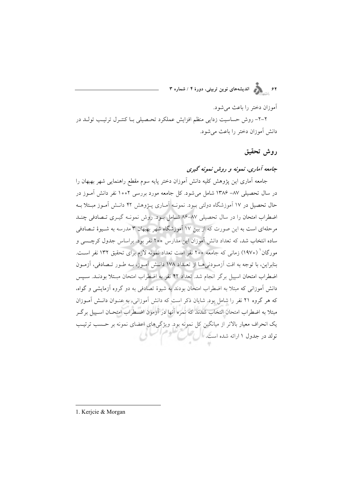آموزان دختر را باعث می شود.

۲–۲– روش حساسیت زدایی منظم افزایش عملکرد تحـصیلی بـا کنتـرل ترتیـب تولـد در دانش آموزان دختر را باعث می شود.

روش تحقيق

### جامعه آماری، نمونه و روش نمونه گیری

جامعه آماري اين پژوهش كليه دانش آموزان دختر پايه سوم مقطع راهنمايي شهر بهبهان را در سال تحصیلی ۸۷– ۱۳۸۶ شامل می شود. کل جامعه مورد بررسی ۱۰۰۲ نفر دانش آمـوز در حال تحصیل در ۱۷ آموزشگاه دولتی بیود. نمونـه آمـاری پـژوهش ۴۲ دانـش آمـوز مبـتلا بـه اضطراب امتحان را در سال تحصیلی ۸۷-۸۶ شـامل بـود. روش نمونـه گیـری تـصادفی چنـد مرحلهای است به این صورت که از بین ۱۷ آموزشگاه شهر بهبهان ۳ مدرسه به شـیوهٔ تـصادفی ساده انتخاب شد، که تعداد دانش آموزان این مدارس ۲۰۰ نفر بود. براساس جدول کرچسبی و مورگان' (١٩٧٠) زمانی که جامعه ٢٥٥ نفر است تعداد نمونه لازم برای تحقیق ١٣٢ نفر اسـت. بنابراین، با توجه به افت آزمودنیها از تعداد ۱۷۸ دانـش آمـوز، بـه طـور تـصادفی، آزمـون اضطراب امتحان اسپیل برگر انجام شد. تعداد ۴۲ نفر به اضطراب امتحان مبتلا بودنـد. سـیس دانش آموزانی که مبتلا به اضطراب امتحان بودند به شیوهٔ تصادفی به دو گروه آزمایشی و گواه، که هر گروه ۲۱ نفر را شامل بود. شایان ذکر است که دانش آموزانی، به عنـوان دانـش آمـوزان مبتلا به اضطراب امتحان انتخاب شدند که نمره آنها در آزمون اضـطراب امتحـان اسـييل برگـر یک انحراف معیار بالاتر از میانگین کل نمونه بود. ویژگیهای اعضای نمونه بر حسب ترتیب تولد در جدول ۱ ارائه شده است. ال

1. Kerjcie & Morgan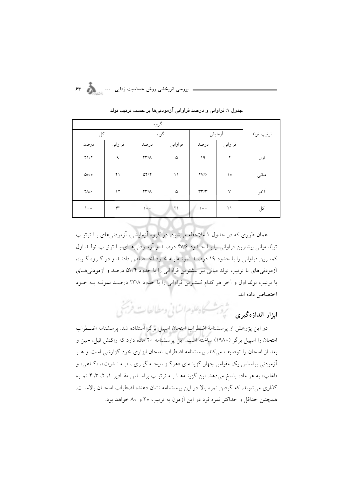| کل                             |               | گواه                       |            |                             | أزمايش  | ترتيب تولد |
|--------------------------------|---------------|----------------------------|------------|-----------------------------|---------|------------|
| درصد                           | فراواني       | درصد                       | فراواني    | درصد                        | فراواني |            |
| $Y \setminus Y$                | ٩             | $\Upsilon\Upsilon/\Lambda$ | ۵          | ۱۹                          | ۴       | اول        |
| $\Delta o / o$                 | ۲۱            | $\Delta Y/\Upsilon$        | ۱۱         | $\frac{y}{2}$               | ه ۱     | میانی      |
| $\mathsf{Y}\Lambda/\mathsf{P}$ | $\mathcal{N}$ | $\upgamma\upgamma/\Lambda$ | ۵          | $\Upsilon\Upsilon/\Upsilon$ | $\vee$  | أخر        |
| $\big\}$ o o                   | $\gamma$      | $\overline{\phantom{a}}$   | $\Upsilon$ | $\circ$                     | ۲۱      | کل         |

جدول ۱: فراوانی و درصد فراوانی آزمودنیها بر حسب ترتیب تولد

همان طوری که در جدول ۱ ملاحظه می شود، در گروه آزمایشی، آزمودنی های بــا ترتیـــــ تولد میانی بیشترین فراوانی را با حبدود ۴۷/۶ درصید و آزمودنی هیای بیا ترتیب تولید اول كمترين فراواني را با حدود ١٩ درصد نمونـه بـه خـود اختـصاص دادنـد و در گـروه گـواه، آزمودنی های با ترتیب تولد میانی نیز بیشترین فراوانی را با حدود ۵۲/۴ درصد و آزمودنی هـای با ترتیب تولد اول و آخر هر کدام کمترین فراوانی را با حدود ۲۳/۸ درصـد نمونـه بـه خـود اختصاص داده اند.

ابواد انداذه محیوی مشترک به علوم السائی وسطالعات فرسیم ،

در این پژوهش از پرسشنامهٔ اضطراب امتحان اسپیل برگر استفاده شد. پرسشنامه اضطراب امتحان را اسپیل برگر (۱۹۸۰) ساخته است. این پرسشنامه ۲۰ ماده دارد که واکنش قبل، حین و بعد از امتحان را توصیف میکند. پرسشنامه اضطراب امتحان ابزاری خود گزارشی است و هـر .<br>آزمودنی براساس یک مقیاس چهار گزینـهای «هرگـز نتیجـه گیـری ، «بـه نــدرت»، «گــاهی» و «اغلب» به هر ماده پاسخ میدهد. این گزینـههـا بـه ترتیـب براسـاس مقـادیر ۱، ۲، ۳، ۴ نمـره گذاری می شوند، که گرفتن نمره بالا در این پرسشنامه نشان دهنده اضطراب امتحـان بالاســت. همچنین حداقل و حداکثر نمره فرد در این آزمون به ترتیب ۲۰ و ۸۰ خواهد بود.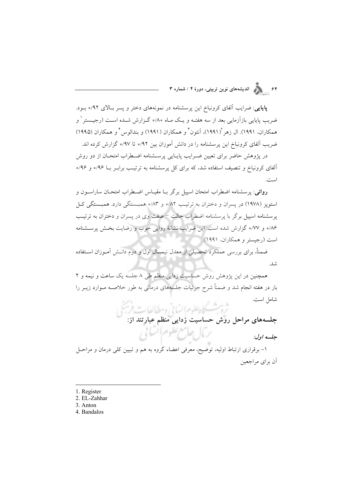۶۴<br>۶۴ - الله الله با الله علي نوين تربيتي، دورهٔ ۴ / شماره ۳

**پایای**ی: ضرایب آلفای کرونباخ این پرسشنامه در نمونههای دختر و پسر بالای ۹۲/ه بـود. ضریب پایایی بازآزمایی بعد از سه هفتـه و یـک مـاه ۸۰/ه گـزارش شـده اسـت (رجیــستر ٰ و همكاران، ١٩٩١). ال زهر (١٩٩١)، آنتون ٌّ و همكاران (١٩٩١) و بندالوس ٌ و همكاران (١٩٩٥) ضریب آلفای کرونباخ این پرسشنامه را در دانش آموزان بین ۹۲/ه تا ۹۷/ه گزارش کرده اند.

در پژوهش حاضر برای تعیین ضـرایب پایـایی پرســشنامه اضـطراب امتحـان از دو روش آلفای کرونباخ و تنصیف استفاده شد، که برای کل پرسشنامه به ترتیب برابـر بــا ۹۶/ه و ۹۶/ه است.

روائع: پرسشنامه اضطراب امتحان اسپیل برگر بــا مقیــاس اضــطراب امتحــان ساراســون و استویز (۱۹۷۸) در پسران و دختران به ترتیب ۸۲/۰ و ۸۳/۰ همبستگی دارد. همبستگی کل پرسشنامه اسپیل برگر با پرسشنامه اضطراب حالت –صفت وی در پسران و دختران به ترتیب ۸۶» و ۰/۷۷ گزارش شده است. این ضرایب نشانهٔ روایی خوب و رضایت بخش پرسشنامه است (رجیستر و همکاران، ۱۹۹۱).

ضمناً، برای بررسی عملکرد تحصیلی از معدل نیمسال اول و دوم دانـش آمـوزان اسـتفاده شد.

همچنین در این پژوهش روش حساسیت زدایی منظم طی ۸ جلسه یک ساعت و نیمه و ۲ بار در هفته انجام شد و ضمناً شرح جزئیات جلسههای درمانی به طور خلاصــه مــوارد زیــر را شامل است.

سامل است.<br>جلسههای مراحل روش حساسیت زدایی منظم عبارتند از:<br>جلسههای مراحل روش حساسیت زدایی منظم عبارتند از: برمال جامع علوم أنساني

حلسه اول:

۱– برقراری ارتباط اولیه، توضیح، معرفی اعضاء گروه به هم و تبیین کلی درمان و مراحـل آن برای مراجعین

- 1. Register
- 2. EL-Zahhar
- 3. Anton
- 4. Bandalos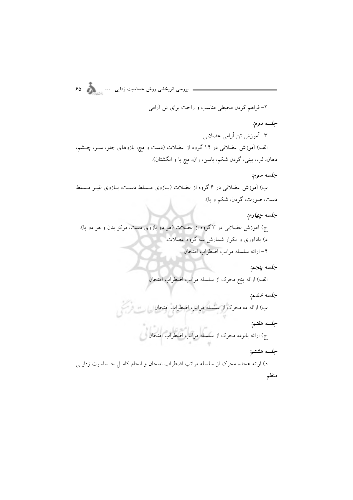بررسی اثربخشی روش حساسیت زدایی ... ... ... ... ... ... ... ... ... ... ... .

۲- فراهم کردن محیطی مناسب و راحت برای تن آرامی

جلسه دوم:

٣- أموزش تن أرامي عضلانبي

الف) آموزش عضلانی در ۱۴ گروه از عضلات (دست و مچ، بازوهای جلو، ســر، چــشم، دهان، لب، بيني، گردن شكم، باسن، ران، مچ پا و انگشتان).

#### جلسه سوم:

ب) آموزش عضلانی در ۶ گروه از عضلات (بـازوی مـسلط دسـت، بـازوی غیــر مـسلط دست، صورت، گردن، شکم و پا).

جلسه چهارم:

ج) آموزش عضلانی در ۳ گروه از عضلات (هر دو بازوی دست، مرکز بدن و هر دو پا). د) یادآوری و تکرار شمارش سه گروه عضلات. ۴- ارائه سلسله مراتب اضطراب امتحان

جلسه پنجم.

الف) ارائه پنج محرک از سلسله مراتب اضطراب امتحان

جلسه ششم: ب) ارائه ده محرک از سلسله مراتب اضطراب امتحان جلسه هفتم: ۲۰<br>ج) ارائه پانزده محرک از سلسله مراتب اضطراب امتحان جلسه هشتم:

د) ارائه هجده محرک از سلسله مراتب اضطراب امتحان و انجام کامـل حـساسيت زدايـبي منظم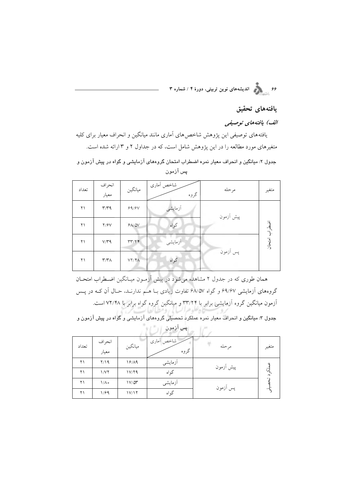۶۶<br>۶۶ - مسلم الندیشههای نوین تربیتی، دورهٔ ۴ / شماره ۳

### يافتههاى تحقيق

الف) يافتەھاي توصيفى

یافتههای توصیفی این پژوهش شاخصهای آماری مانند میانگین و انحراف معیار برای کلیه متغیرهای مورد مطالعه را در این پژوهش شامل است، که در جداول ۲ و ۳ ارائه شده است. .<br>جدول ۲: میانگین و انحراف معیار نمره اضطراب امتحان گروههای آزمایشی و گواه در پیش آزمون و

| تعداد | انحراف<br>معيار         | ميانگين | شاخص أمارى<br>گروه | مرحله     | متغير     |
|-------|-------------------------|---------|--------------------|-----------|-----------|
| ۲۱    | $\mathbf{r}/\mathbf{r}$ | 99/9V   | أزمايشي            | پیش آزمون |           |
| ۲۱    | Y/Y                     | 9A/N    | گواه               |           | أضطراب    |
| ۲۱    | V/T9                    | rr/7f   | أزمايشي            |           | آوٽن<br>گ |
| ۲۱    | $\mathbf{r}/\mathbf{r}$ | VY/Y    | گواه               | پس آزمون  |           |

پس آزمون

همان طوری که در جدول ۲ مشاهده میشود در پیش ازمـون میـانگین اضـطراب امتحـان گروههای ازمایشی ۶۹/۶۷ و گواه ۶۸/۵۷ تفاوت زیادی بـا هــم ندارنــد، حـال آن کــه در پــس آزمون میانگین گروه آزمایشی برابر با ۳۳/۲۴ و میانگین گروه گواه برابر با ۷۲/۴۸ است.

.<br>جدول ۳: میانگین و انحراف معیار نمره عملکرد تحصیلی گروههای آزمایشی و گواه در پیش آزمون و

|       |             |                  | - -        |           |       |
|-------|-------------|------------------|------------|-----------|-------|
| تعداد | انحراف      | ميانگين          | شاخص أمارى | مرحله     | متغير |
|       | معيار       |                  | گروه       |           |       |
| ۲۱    | Y/19        | 18/19            | أزمايشى    | پیش آزمون |       |
| ۲۱    | 1/V         | 1V/Y9            | گواه       |           |       |
| ۲۱    | $1/\Lambda$ | $1 V / \Delta r$ | أزمايشى    | پس آزمون  |       |
| ۲۱    | 1/89        | 1V/17            | گواه       |           |       |
|       |             |                  |            |           |       |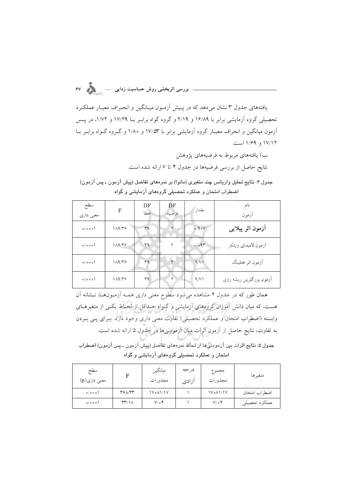بررسی اثربخشی روش حساسیت زدایی ...

یافتههای جدول ۳ نشان می دهد که در پیش آزمون میبانگین و انحیراف معیبار عملک د تحصیلی گروه آزمایشی برابر با ۱۶/۸۹ و ۲/۱۹ و گروه گواه برابـر بــا ۱۷/۲۹ و ۱/۷۲، در پــس آزمون میانگین و انحراف معیـار گروه آزمایشی برابر با ۱۷/۵۳ و ۱/۸۰ و گـروه گـواه برابـر بـا ۱۷/۱۲ و ۱/۶۹ است.

ب) یافتههای مربوط به فرضیههای یژوهش

نتايج حاصل از بررسي فرضيهها در جدول ۴ تا ۷ ارائه شده است.

جدول ۴: نتايج تحليل واريانس چند متغيري (مانوا) بر نمرههاي تفاضل (پيش آزمون ـ پس آزمون) اضطراب امتحان و عملکرد تحصیلی گروههای آزمایشی و گواه

| سطح<br>معنى دارى | F     | DF<br>خطا | DF<br>فرضيه | مقدار | نام<br>أزمون                 |
|------------------|-------|-----------|-------------|-------|------------------------------|
| 0/000            | 11979 | ٣٩        |             | 0/90V | آزمون اثر پیلای <sub>ی</sub> |
| 0/000            | 11979 | ra        |             | 0/091 | أزمون لامبداي ويلكز          |
| 0/000            | 11979 | ٣٩        |             | 9/V   | آزمون اثر هتلينگ             |
| 0/000            | 11979 | ٣q        | ۲           | 9/V   | أزمون بزرگترين ريشه روي      |

همان طور که در جدول ۴ مشاهده میشود سطوح معنی داری همـه آزمـونهـا، نــشانه آن هست، که میان دانش آموزان گروههای آزمایشی و گـواه حـداقل از لحـاظ یکـی از متغیرهـای وابسته (اضطراب امتحان و عملکرد تحصیلی) تفاوت معنی داری وجود دارد. بـرای یـبی بـردن به تفاوت، نتايج حاصل از آزمون اثرات ميان آزمودني ها در جدول ۵ ارائه شده است.

جدول ۵: نتايج اثرات بين آزمودني۱ها از لحاظ نمرههاي تفاضل (پيش آزمون ـ پس آزمون) اضطراب امتحان و عملکرد تحصیلی گروههای آزمایشی و گواه

| سطح<br>معنی داری(p) | F                                 | ميانگين<br>مجذورات | درجه<br>آزادى | مجموع<br>مجذورات | متغيرها       |
|---------------------|-----------------------------------|--------------------|---------------|------------------|---------------|
| $o/o$ $o$ $o$       | 381/27                            | <b>۱۷۰۸۱/۱۷</b>    |               | <b>IV.AI/IV</b>  | اضطراب امتحان |
| 0/000               | $\mathsf{r}\mathsf{r}/\mathsf{r}$ | $V/\circ f$        |               | $V/\circ f$      | عملكرد تحصيلي |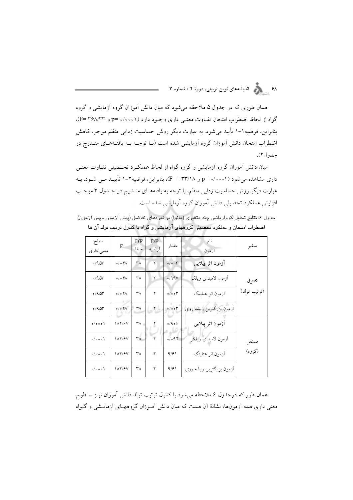.<br>۶۸ - اندیشههای نوین تربیتی، دورهٔ ۴ / شماره ۳

همان طوری که در جدول ۵ ملاحظه می شود که میان دانش آموزان گروه آزمایشی و گروه گواه از لحاظ اضطراب امتحان تفـاوت معنـي داري وجـود دارد (٥٠٥١١ه =p=)، (F= ٣۶٨/٣٣)، بنابراین، فرضیه١-١ تأیید می شود. به عبارت دیگر روش حساسیت زدایی منظم موجب کاهش اضطراب امتحان دانش آموزان گروه آزمایشی شده است (بـا توجـه بـه یافتـههـای منــدرج در جدول ٢).

میان دانش آموزان گروه آزمایشی و گروه گواه از لحاظ عملک رد تحـصیلی تفـاوت معنـی داری مشاهده می شود (٥٠٥٥١ه =p و ٣٣/١٨)، بنابراین، فرضیه٢-١ تأییـد مـی شـود. بـه عبارت دیگر روش حساسیت زدایی منظم، با توجه به یافتههـای منــدرج در جــدول ۳ موجــب افزایش عملکرد تحصیلی دانش آموزانِ گروه آزمایشی شده است.

جدول ۶: نتايج تحليل كوواريانس چند متغيري (مانوا) بر نمرههاي تفاضل (پيش آزمون ـ پس آزمون) اضطراب امتحان و عملکرد تحصیلی گروههای آزمایشی و گواه با کنترل ترتیب تولد آن ها

| سطح<br>معنی داری | F                                  | DF<br>خطا              | DF<br>فرضيه  | مقدار | نام<br>ازمون                 | متغير        |
|------------------|------------------------------------|------------------------|--------------|-------|------------------------------|--------------|
| $0/9$ ar         | $\circ / \circ \mathcal{F} \wedge$ | ٣٨                     | ۲            | 0/00  | آزمون اثر پیلایی             |              |
| $0/9$ ar         | $\circ / \circ \mathcal{F} \wedge$ | ٣٨                     | ٢            | 0/99V | آزمون لامیدای ویلکز          | كنترل        |
| $0/9$ $\alpha r$ | $\circ / \circ \mathcal{F} \wedge$ | ٣٨                     | ۲            | 0/00  | أزمون اثر هتلينگ             | (ترتيب تولد) |
| $0/9$ ar         | $0/0$ $4\pi$                       | $\mathsf{r}_\Lambda$   | $Y -$        | 0/00  | آزمون بزرگترین ریشه روی      |              |
| 0/000            | <b>IAT/۶V</b>                      | $\mathsf{r}_{\Lambda}$ | $\mathbf{r}$ | 0/9   | ازمون اثر پیلای <sub>ی</sub> |              |
| 0/000            | <b>IAY/۶V</b>                      | $\mathsf{r}_\Lambda$   | ۲            | 0/094 | أزمون لامبداي ويلكز          | مستقل        |
| 0/000            | <b><i>AT/۶V</i></b>                | ۳۸                     | ۲            | 9/91  | أزمون اثر هتلينگ             | (گروه)       |
| 0/000            | <b><i>AT/SV</i></b>                | ۳۸                     | ۲            | 9/91  | أزمون بزرگترين ريشه روي      |              |

همان طور که درجدول ۶ ملاحظه می شود با کنترل ترتیب تولد دانش آموزان نیـز سـطوح معنی داری همه آزمونها، نشانهٔ آن هست که میان دانش آمـوزان گروههـای آزمایــشی و گــواه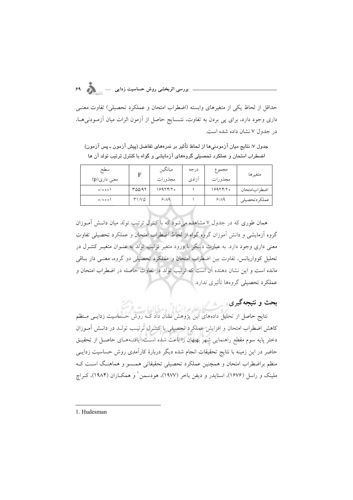## **2> … 7 8 "9: ; <= "**

حداقل از لحاظ یکی از متغیرهای وابسته (اضطراب امتحان و عملکرد تحصیلی) تفاوت معنــی داری وجود دارد، برای پی بردن به تفاوت، نتــــایج حاصل از آزمون اترات میان آزمــودنی۵ــا، در جدول ۷ نشان داده شده است.

جدول ٧: نتايج ميان ازمودنىها از لحاظ تأثير بر نمرههاى تفاضل (پيش ازمون ـ پس ازمون) اضطراب امتحان و عملکرد تحصیلی گروههای ازمایشی و گواه با کنترل ترتیب تولد ان ها

| سطح<br>معنی داری(p) | F      | ميانگين<br>مجذورات | درجه<br>آزادى | مجموع<br>مجذورات | متغيرها       |
|---------------------|--------|--------------------|---------------|------------------|---------------|
| $o/o$ $o$ $\circ$   | ۳۵۵/۹۲ | ه ۱۶۹۲۴/۲          |               | 1997770          | اضطر ابامتحان |
| 0/000               | ۳۱/۷۵  | 9/19               |               | 9/19             | عملكردتحصيلى  |

همان طوری که در جدول ۷ مشاهده میشود که با کنترل ترتیب تولد میان دانــش امــوزان کروه ازمایشی و دانش اموزان کروه کواه از لحاظ اضطراب امتحان و عملکرد تحصیلی تفاوت معنی داری وجود دارد. به عبارت دیـگر با ورود متغیر ترتیب تولد به عنــوان متغیــر کنتــرل در تحلیل کوواریانس، تفاوت بین اضطراب امتحان و عملکرد تحصیلی دو گروه، معنـی دار بـاقی مانده است و این نشان دهنده آن است که ترتیب تولد در تفاوت حاصله در اضطراب امتحان و عملکرد تحصیلی گروهها تاثیری ندارد.

**بحت و نتیجه دیری** 

نتایج حاصل از تحلیل دادههای این پژوهش نشان داد کـه روش حـساسیت زدایــی مـنظم کاهش اضطراب امتحان و افزایش عملکرد تحصیلی با کنتـرل ترتیـب تولـد در دانـش امـوزان دختر پایه سوم مقطع راهنمایی شهر بهبهان را باعث شده اسـت. یافتــههــای حاصــل از تحقیــق حاضر در این زمینه با نتایج تحقیقات انجام شده دیگر دربارهٔ کارامدی روش حساسیت زدایــی منظم براضطراب امتحان و همچنین عملکرد تحصیلی تحقیقاتی همــسو و هماهنـگ اسـت کـه ملینک و راسل (۱۶۷۶)، اسنایدر و دیفن باخر (۱۹۷۷)، هودسمن ٰ و همکــاران (۱۹۸۴)، کــراچ

1. Hudesman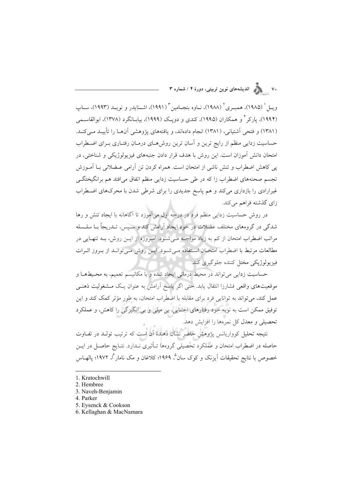ويبل ( (١٩٨٥)، هميبري ( (١٩٨٨)، نياوه بنجيامين ( (١٩٩١)، اشـنايدر و نويبـد (١٩٩٣)، سياب (۱۹۹۴)، پارکر ٔ و همکاران (۱۹۹۵)، کندی و دویـک (۱۹۹۹)، بیابـانگرد (۱۳۷۸)، ابوالقاســمـ (۱۳۸۱) و فتحی اَشتیانی، (۱۳۸۱) انجام دادهاند، و یافتههای یژوهشی اَنهـا را تأییـد مـی کنـد. حساسیت زدایی منظم از رایج ترین و آسان ترین روش هـای درمـان رفتـاری بـرای اضـطراب امتحان دانش آموزان است. این روش با هدف قرار دادن جنبههای فیزیولوژیکی و شناختی، در یی کاهش اضطراب و تنش ناشی از امتحان است. همراه کردن تن آرامی عـضلانی بــا آمــوزش تجسم صحنههای اضطراب زا که در طی حساسیت زدایی منظم اتفاق می|فتد هم برانگیختگــم غیرارادی را بازداری میکند و هم پاسخ جدیدی را برای شرطی شدن با محرکهای اضطراب زای گذشته فراهم میکند.

در روش حساسیت زدایی منظم فرد در درجه اول میآموزد تا آگاهانه با ایجاد تنش و رها شدگی در گروههای مختلف عضلات در خود ایجاد آرامش کند و سـیس، تــدریجاً بــا سلــسله مراتب اضطراب امتحان از کم به زیاد مواجــه مــیشــود. امــروزه از ایــن روش، بــه تنهــایی در مطالعات مرتبط با اضطراب امتحیان استفاده مے شبود. این روش مے توانید از بیروز اثیرات فيزيولوژيكي مختل كننده جلوگيري كند.

حساسیت زدایی می تواند در محیط درمانی ایجاد شده و با مکانیسم تعمیم، به محـیطهـا و موقعیتهای واقعی فشارزا انتقال یابد. حتی اگر پاسخ آرامش به عنوان یـک مــشغولیت ذهنــی عمل کند، می تواند به توانایی فرد برای مقابله با اضطراب امتحان، به طور مؤثر کمک کند و این توفیق ممکن است به نوبه خود رفتارهای اجتنابی، بی میلی و بی انگیزگی را کاهش، و عملکرد تحصیلی و معدل کل نمرهها را افزایش دهد.

نتیجه تحلیل کوواریانس پژوهش حاضر نشان دهندهٔ آن است که ترتیب تولـد در تفــاوت حاصله در اضطراب امتحان و عملکرد تحصیلی گروهها تـأثیری نـدارد. نتـایج حاصـل در ایــن خصوص با نتايج تحقيقات اَيزنک و کوک سان°، ۱۹۶۹؛ کلاغان و مک نامار ٌا، ۱۹۷۲؛ پالهــاس

- 5. Eysenck & Cookson
- 6. Kellaghan & MacNamara

<sup>1.</sup> Kratochwill

<sup>2.</sup> Hembree

<sup>3.</sup> Naveh-Benjamin

<sup>4.</sup> Parker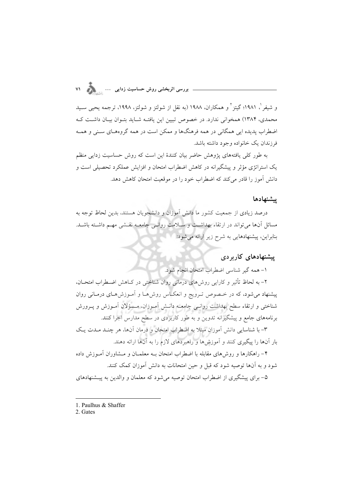و شیفر <sup>۱</sup>، ۱۹۸۱؛ گیتز <sup>۲</sup> و همکاران، ۱۹۸۸ (به نقل از شولتز و شولتز، ۱۹۹۸، ترجمه یحیی سـید محمدی، ۱۳۸۴) همخوانی ندارد. در خصوص تبیین این یافته شـاید بتـوان بیـان داشـت کـه اضطراب پدیده ایی همگانی در همه فرهنگها و ممکن است در همه گروههـای سـنی و همـه فرزندان يک خانواده وجود داشته باشد.

به طور کلی یافتههای یژوهش حاضر بیان کنندهٔ این است که روش حساسیت زدایی منظم یک استراتژی مؤثر و پیشگیرانه در کاهش اضطراب امتحان و افزایش عملکرد تحصیلی است و دانش آموز را قادر می کند که اضطراب خود را در موقعیت امتحان کاهش دهد.

#### بشنهادها

درصد زیادی از جمعیت کشور ما دانش آموزان و دانشجویان هستند، بدین لحاظ توجه به مسائل آنها می تواند در ارتقاء بهداشت و سیلامت روانبی جامعیه نقشی مهیم داشته باشید. بنابراین، پیشنهادهایی به شرح زیر ارائه می شود:

#### پیشنهادهای کاربردی

١- همه گير شناسي اضطراب امتحان انجام شود.

۲– به لحاظ تأثیر و کارایی روش،های درمانی روان شناختی در کــاهش اضــطراب امتحــان، پیشنهاد می شود، که در خـصوص تـرویج و انعکـاس روش۵ا و آمـوزش۵حـای درمـانی روان شناختی و ارتقاء سطح بهداشت روانـی جامعـه دانــش آمــوزان. مــسؤلان آمــوزش و پــرورش برنامههای جامع و پیشگیرانه تدوین و به طور کاربردی در سطح مدارس اجرا کنند.

۳- با شناسایی دانش آموزان مبتلا به اضطراب امتحان و درمان آنها، هر چنـد مـدت یـک بار آنها را پیگیری کنند و آموزش ها و راهبردهای لازم را به آنها ارائه دهند.

۴– راهکارها و روش های مقابله با اضطراب امتحان بــه معلمــان و مــشاوران آمــوزش داده شود و به آنها توصیه شود که قبل و حین امتحانات به دانش آموزان کمک کنند. ۵- برای پیشگیری از اضطراب امتحان توصیه می شود که معلمان و والدین به پیـشنهادهای

<sup>1.</sup> Paulhus & Shaffer

<sup>2.</sup> Gates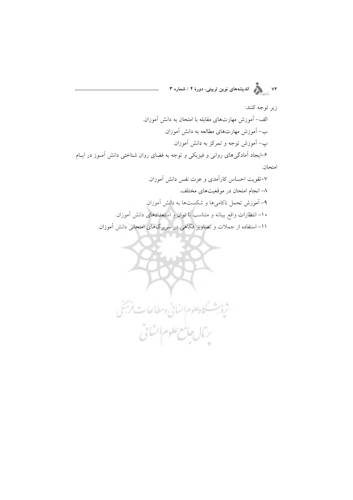۷۲<br>۷۲ هـ د مختلف اندیشههای نوین تربیتی، دورهٔ ۴ / شماره ۳

زير توجه كنند:

الف- آموزش مهارتهای مقابله با امتحان به دانش آموزان. ب– آموزش مهارتهای مطالعه به دانش آموزان. ب- آموزش توجه و تمرکز به دانش آموزان. ۶–ایجاد آمادگیهای روانی و فیزیکی و توجه به فضای روان شناختی دانش آمـوز در ایــام امتحان. ٧-تقويت احساس كارآمدي و عزت نفس دانش آموزان.

٨– انجام امتحان در موقعیتهای مختلف. ۹- آموزش تحمل ناکامیها و شکستها به دانش آموزان. ۱۰– انتظارات واقع بینانه و متناسب با توان و استعدادهای دانش آموزان. ۱۱– استفاده از جملات و تصاویر فکاهی در سربرگهای امتحانی دانش آموزان.

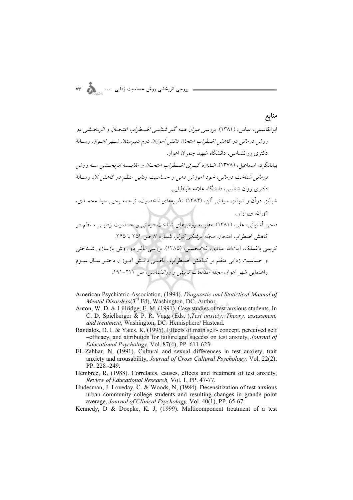$$
\text{vr} \quad \bullet \quad \bullet \quad \bullet \quad \bullet \quad \bullet \quad \bullet \quad \bullet
$$

## منابع

 ("-\$. "4 !"# (' ? O (\$ (. GHDG) t; (6 =9\$ 9" .-" " \$ > -8 4 !# 1 ( , .- 
 ( ' @1 , ?" ("-\$. ?\*"= "4 !"# @" - " (. GHED) M6 \$ \$ 9" .8 1 %&' (- )\*+ ( ,-8 7 ( )7' ( .(;T;T ?Y6 ( '
 @1 @ "4 (4 ?B/ )3- @?& (. GHDJ) 98 ( O9
 8 O9 . / %&'" (" - ) \*+ ( )7' @, ?\*= (. GHDG) (6(2 8 4N( .KJz / EKzG .1 (R
O ?2W 4 !# 1 (7'" @--\$ , .k/ (\$ (. GHDz) \*4Y @ ;6 )8 |2\$ ( 1 >" 0" "7 -"8 " ("# !"# "1 \$ %&' - )( \*+ . KGGFG`G (' (\$/ PA9! ?2W - ('

- American Psychiatric Association, (1994). *Diagnostic and Statictical Manual of Mental Disorders*(3<sup>rd</sup> Ed), Washington, DC. Author.
- Anton, W. D, & Lillridge, E. M, (1991). Case studies of test anxious students. In C. D. Spielberger & P. R. Vagg (Eds. ),*Test anxiety: Theory, assessment, and treatment*, Washington, DC: Hemisphere/ Hastead.
- Bandalos, D. L & Yates, K, (1995). Effects of math self- concept, perceived self –efficacy, and attribution for failure and success on test anxiety, *Journal of Educational Psychology*, Vol. 87(4), PP. 611-623.
- EL-Zahhar, N, (1991). Cultural and sexual differences in test anxiety, trait anxiety and arousability, *Journal of Cross Cultural Psychology,* Vol. 22(2), PP. 228 -249.
- Hembree, R, (1988). Correlates, causes, effects and treatment of test anxiety, *Review of Educational Research,* Vol. 1, PP. 47-77.
- Hudesman, J. Loveday, C. & Woods, N, (1984). Desensitization of test anxious urban community college students and resulting changes in grande point average, *Journal of Clinical Psychology,* Vol. 40(1), PP. 65-67.
- Kennedy, D & Doepke, K. J, (1999). Multicomponent treatment of a test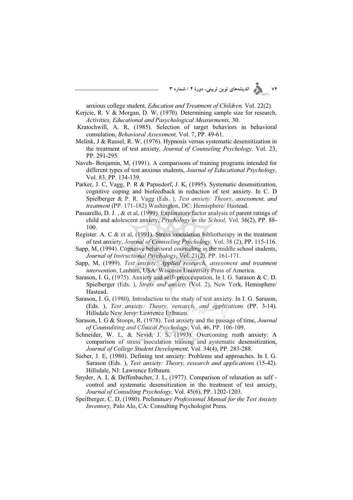۷۴ **) از از ایشههای نوین تربیتی، دورهٔ ۴ / شماره ۳** 

anxious college student, *Education and Treatment of Children,* Vol. 22(2).

- Kerjcie, R. V & Morgan, D. W, (1970). Determining sample size for research*, Activities, Educational and Pasychological Measurments,* 30.
- Kratochwill, A. R, (1985). Selection of target behaviors in behavioral consulation, *Behavioral Assessment,* Vol. 7, PP. 49-61.
- Melink, J & Russel, R. W, (1976). Hypnosis versus systematic desensitization in the treatment of test anxiety, *Journal of Counseling Psychology,* Vol. 23, PP. 291-295.
- Naveh- Benjamin, M, (1991). A comparisons of training programs intended for different types of test anxious students, *Journal of Educational Psychology,* Vol. 83, PP. 134-139.
- Parker, J. C, Vagg, P. R & Papasdorf, J. K, (1995). Systematic desensitization, cognitive coping and biofeedback in reduction of test anxiety. In C. D Spielberger & P. R. Vagg (Eds. ), *Test anxiety: Theory, assessment, and treatment* (PP. 171-182) Washington, DC: Hemisphere/ Hastead.
- Passarello, D. J. , & et al, (1999). Exploratory factor analysis of parent ratings of child and adolescent anxiety, *Psychology in the School,* Vol. 36(2), PP. 88- 100.
- Register. A. C & et al, (1991). Stress inoculation bibliotherapy in the treatment of test anxiety, *Journal of Counseling Psychology,* Vol. 38 (2), PP. 115-116.
- Sapp, M, (1994). Cognitive behavioral counseling in the middle school students, *Journal of Instructional Psychology,* Vol. 21(2), PP. 161-171.
- Sapp, M, (1999). *Test anxiety: Applied research, assessment and treatment intervention*, Lanham, USA: Wiscosin University Press of America.
- Sarason, I. G, (1975). Anxiety and self- preoccupation, In I. G. Sarason & C. D. Spielberger (Eds. ), *Stress and anxiety* (Vol. 2), New York, Hemisphere/ Hastead.
- Sarason, I. G, (1980). Introduction to the study of test anxiety. In I. G. Sarason, (Eds. ), *Test anxiety: Theory, research, and applications* (PP. 3-14). Hillsdale New Jersy: Lawrence Erlbaum.
- Sarason, I. G & Stoops, R, (1978). Test anxiety and the passage of time, *Journal of Counsuliting and Clinical Psychology,* Vol. 46, PP. 106-109.
- Schneider, W. L, & Nevid, J. S, (1993). Overcoming math anxiety: A comparison of stress inoculation training and systematic desensitization, *Journal of College Student Development,* Vol. 34(4), PP. 283-288.
- Sieber, J. E, (1980). Defining test anxiety: Problems and approaches. In I. G. Sarason (Eds. ), *Test anxiety: Theory, research and applications* (15-42). Hillsdale, NJ: Lawrence Erlbaum.
- Snyder, A. L & Deffenbacher, J. L, (1977). Comparison of relaxation as self control and systematic desensitization in the treatment of test anxiety, *Journal of Consulting Psychology,* Vol. 45(6), PP. 1202-1203.
- Speilberger, C. D, (1980). Prelimin*ary Professional Manual for the Test Anxiety Inventory,* Palo Alo, CA: Consulting Psychologist Press.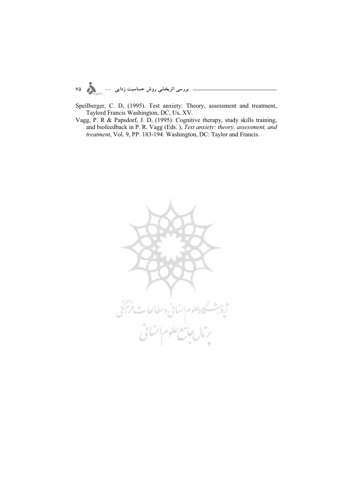Speilberger, C. D, (1995). Test anxiety: Theory, assessment and treatment, Taylord Francis Washington, DC, Us, XV.

Vagg, P. R & Papsdorf, J. D, (1995). Cognitive therapy, study skills training, and biofeedback in P. R. Vagg (Eds.), Test anxiety: theory, assessment, and treatment, Vol. 9, PP. 183-194. Washington, DC: Taylor and Francis.

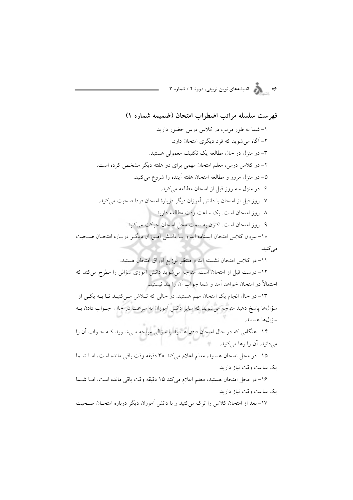۷۶<br>۷۶ - مسلم الدیشههای نوین تربیتی، دورهٔ ۴ / شماره ۳

فهرست سلسله مراتب اضطراب امتحان (ضميمه شماره ۱)

١- شما به طور مرتب در كلاس درس حضور داريد. ۲– آگاه می شوید که فرد دیگری امتحان دارد. ۳- در منزل در حال مطالعه یک تکلیف معمولی هستید. ۴- در کلاس درس، معلم امتحان مهمی برای دو هفته دیگر مشخص کرده است. ۵– در منزل مرور و مطالعه امتحان هفته أينده را شروع مي كنيد. ۶– در منزل سه روز قبل از امتحان مطالعه می کنید. ٧- روز قبل از امتحان با دانش آموزان دیگر دربارهٔ امتحان فردا صحبت می کنید. ٨– روز امتحان است. يک ساعت وقت مطالعه داريد. ۹- روز امتحان است. اکنون به سمت محل امتحان حرکت می کنید. ۱۰- بیرون کلاس امتحان ایستاده اید و بـا دانــش اَمـوزان دیگـر دربــاره امتحــان صــحبت مے کنید.

١١- در كلاس امتحان نشسته ايد و منتظر توزيع اوراق امتحان هستيد. ١٢- درست قبل از امتحان است. متوجه مي شويد دانش آموزي سؤالي را مطرح مي كند كه احتمالاً در امتحان خواهد آمد و شما جواب اَن را بلد نیستید.

١٣- در حال انجام يک امتحان مهم هستيد. در حالي که تـلاش مـيکنيـد تـا بــه يکـي از سؤالها پاسخ دهید متوجه میشوید که سایر دانش آموزان به سرعت در حال جــواب دادن بــه سؤالها هستند.

۱۴– هنگامی که در حال امتحان دادن هستید با سؤالی مواجه مـیشـوید کــه جــواب آن را میدانید. آن را رها می کنید.

١٥- در محل امتحان هستيد، معلم اعلام مي كند ٣٥ دقيقه وقت باقي مانده است، امـا شـما یک ساعت وقت نیاز دارید.

١۶- در محل امتحان هستيد، معلم اعلام مي كند ١٥ دقيقه وقت باقي مانده است، امـا شـما یک ساعت وقت نیاز دارید.

١٧- بعد از امتحان كلاس را ترك مى كنيد و با دانش آموزان ديگر درباره امتحـان صـحبت